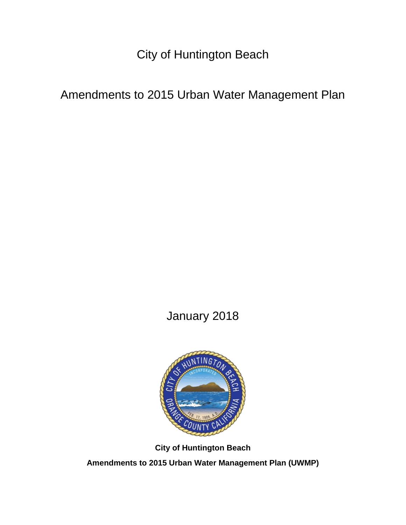City of Huntington Beach

Amendments to 2015 Urban Water Management Plan

January 2018



**City of Huntington Beach**

**Amendments to 2015 Urban Water Management Plan (UWMP)**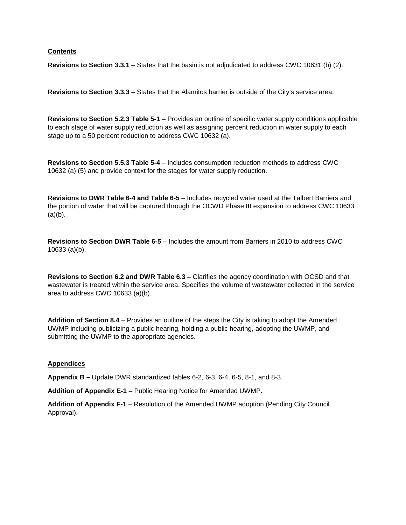## **Contents**

**Revisions to Section 3.3.1** – States that the basin is not adjudicated to address CWC 10631 (b) (2).

**Revisions to Section 3.3.3** – States that the Alamitos barrier is outside of the City's service area.

**Revisions to Section 5.2.3 Table 5-1** – Provides an outline of specific water supply conditions applicable to each stage of water supply reduction as well as assigning percent reduction in water supply to each stage up to a 50 percent reduction to address CWC 10632 (a).

**Revisions to Section 5.5.3 Table 5-4** – Includes consumption reduction methods to address CWC 10632 (a) (5) and provide context for the stages for water supply reduction.

**Revisions to DWR Table 6-4 and Table 6-5** – Includes recycled water used at the Talbert Barriers and the portion of water that will be captured through the OCWD Phase III expansion to address CWC 10633  $(a)(b)$ .

**Revisions to Section DWR Table 6-5** – Includes the amount from Barriers in 2010 to address CWC 10633 (a)(b).

**Revisions to Section 6.2 and DWR Table 6.3** – Clarifies the agency coordination with OCSD and that wastewater is treated within the service area. Specifies the volume of wastewater collected in the service area to address CWC 10633 (a)(b).

**Addition of Section 8.4** – Provides an outline of the steps the City is taking to adopt the Amended UWMP including publicizing a public hearing, holding a public hearing, adopting the UWMP, and submitting the UWMP to the appropriate agencies.

### **Appendices**

**Appendix B –** Update DWR standardized tables 6-2, 6-3, 6-4, 6-5, 8-1, and 8-3.

**Addition of Appendix E-1** – Public Hearing Notice for Amended UWMP.

**Addition of Appendix F-1** – Resolution of the Amended UWMP adoption (Pending City Council Approval).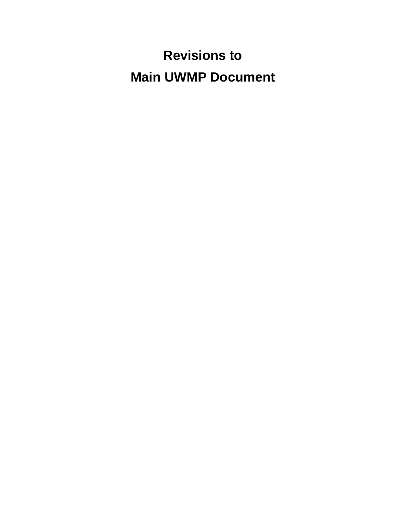# **Revisions to Main UWMP Document**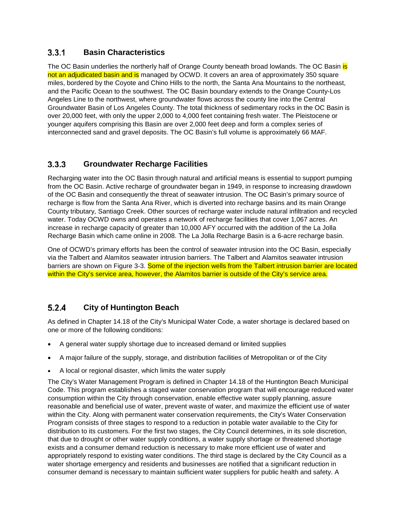#### $3.3.1$ **Basin Characteristics**

The OC Basin underlies the northerly half of Orange County beneath broad lowlands. The OC Basin is not an adjudicated basin and is managed by OCWD. It covers an area of approximately 350 square miles, bordered by the Coyote and Chino Hills to the north, the Santa Ana Mountains to the northeast, and the Pacific Ocean to the southwest. The OC Basin boundary extends to the Orange County-Los Angeles Line to the northwest, where groundwater flows across the county line into the Central Groundwater Basin of Los Angeles County. The total thickness of sedimentary rocks in the OC Basin is over 20,000 feet, with only the upper 2,000 to 4,000 feet containing fresh water. The Pleistocene or younger aquifers comprising this Basin are over 2,000 feet deep and form a complex series of interconnected sand and gravel deposits. The OC Basin's full volume is approximately 66 MAF.

#### $3.3.3$ **Groundwater Recharge Facilities**

Recharging water into the OC Basin through natural and artificial means is essential to support pumping from the OC Basin. Active recharge of groundwater began in 1949, in response to increasing drawdown of the OC Basin and consequently the threat of seawater intrusion. The OC Basin's primary source of recharge is flow from the Santa Ana River, which is diverted into recharge basins and its main Orange County tributary, Santiago Creek. Other sources of recharge water include natural infiltration and recycled water. Today OCWD owns and operates a network of recharge facilities that cover 1,067 acres. An increase in recharge capacity of greater than 10,000 AFY occurred with the addition of the La Jolla Recharge Basin which came online in 2008. The La Jolla Recharge Basin is a 6-acre recharge basin.

One of OCWD's primary efforts has been the control of seawater intrusion into the OC Basin, especially via the Talbert and Alamitos seawater intrusion barriers. The Talbert and Alamitos seawater intrusion barriers are shown on Figure 3-3. Some of the injection wells from the Talbert intrusion barrier are located within the City's service area, however, the Alamitos barrier is outside of the City's service area.

#### $5.2.4$ **City of Huntington Beach**

As defined in Chapter 14.18 of the City's Municipal Water Code, a water shortage is declared based on one or more of the following conditions:

- A general water supply shortage due to increased demand or limited supplies
- A major failure of the supply, storage, and distribution facilities of Metropolitan or of the City
- A local or regional disaster, which limits the water supply

The City's Water Management Program is defined in Chapter 14.18 of the Huntington Beach Municipal Code. This program establishes a staged water conservation program that will encourage reduced water consumption within the City through conservation, enable effective water supply planning, assure reasonable and beneficial use of water, prevent waste of water, and maximize the efficient use of water within the City. Along with permanent water conservation requirements, the City's Water Conservation Program consists of three stages to respond to a reduction in potable water available to the City for distribution to its customers. For the first two stages, the City Council determines, in its sole discretion, that due to drought or other water supply conditions, a water supply shortage or threatened shortage exists and a consumer demand reduction is necessary to make more efficient use of water and appropriately respond to existing water conditions. The third stage is declared by the City Council as a water shortage emergency and residents and businesses are notified that a significant reduction in consumer demand is necessary to maintain sufficient water suppliers for public health and safety. A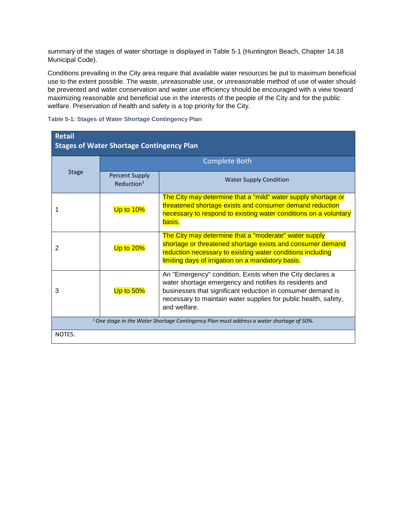summary of the stages of water shortage is displayed in Table 5-1 (Huntington Beach, Chapter 14.18 Municipal Code).

Conditions prevailing in the City area require that available water resources be put to maximum beneficial use to the extent possible. The waste, unreasonable use, or unreasonable method of use of water should be prevented and water conservation and water use efficiency should be encouraged with a view toward maximizing reasonable and beneficial use in the interests of the people of the City and for the public welfare. Preservation of health and safety is a top priority for the City.

| awic o T. Olagos of Watch Offortage Contingency Flam              |                                                 |                                                                                                                                                                                                                                                                        |  |  |
|-------------------------------------------------------------------|-------------------------------------------------|------------------------------------------------------------------------------------------------------------------------------------------------------------------------------------------------------------------------------------------------------------------------|--|--|
| <b>Retail</b><br><b>Stages of Water Shortage Contingency Plan</b> |                                                 |                                                                                                                                                                                                                                                                        |  |  |
|                                                                   |                                                 | <b>Complete Both</b>                                                                                                                                                                                                                                                   |  |  |
| <b>Stage</b>                                                      | <b>Percent Supply</b><br>Reduction <sup>1</sup> | <b>Water Supply Condition</b>                                                                                                                                                                                                                                          |  |  |
|                                                                   | Up to 10%                                       | The City may determine that a "mild" water supply shortage or<br>threatened shortage exists and consumer demand reduction<br>necessary to respond to existing water conditions on a voluntary<br>basis.                                                                |  |  |
| $\mathcal{P}$                                                     | Up to $20%$                                     | The City may determine that a "moderate" water supply<br>shortage or threatened shortage exists and consumer demand<br>reduction necessary to existing water conditions including<br>limiting days of irrigation on a mandatory basis.                                 |  |  |
| 3                                                                 | Up to $50\%$                                    | An "Emergency" condition. Exists when the City declares a<br>water shortage emergency and notifies its residents and<br>businesses that significant reduction in consumer demand is<br>necessary to maintain water supplies for public health, safety,<br>and welfare. |  |  |

**Table 5-1: Stages of Water Shortage Contingency Plan**

*1 One stage in the Water Shortage Contingency Plan must address a water shortage of 50%.*

NOTES: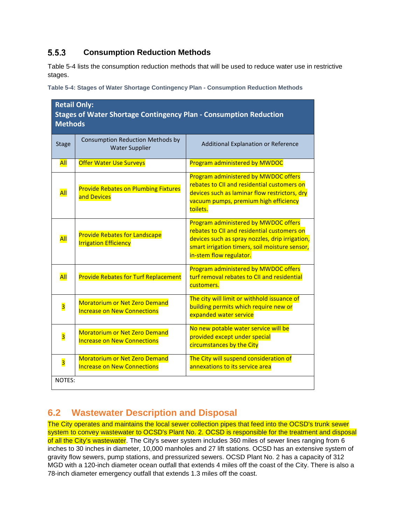#### $5.5.3$ **Consumption Reduction Methods**

Table 5-4 lists the consumption reduction methods that will be used to reduce water use in restrictive stages.

**Table 5-4: Stages of Water Shortage Contingency Plan - Consumption Reduction Methods**

| <b>Retail Only:</b><br><b>Stages of Water Shortage Contingency Plan - Consumption Reduction</b><br><b>Methods</b> |                                                                            |                                                                                                                                                                                                                     |  |  |
|-------------------------------------------------------------------------------------------------------------------|----------------------------------------------------------------------------|---------------------------------------------------------------------------------------------------------------------------------------------------------------------------------------------------------------------|--|--|
| <b>Stage</b>                                                                                                      | Consumption Reduction Methods by<br><b>Water Supplier</b>                  | Additional Explanation or Reference                                                                                                                                                                                 |  |  |
| <b>All</b>                                                                                                        | <b>Offer Water Use Surveys</b>                                             | <b>Program administered by MWDOC</b>                                                                                                                                                                                |  |  |
| All                                                                                                               | <b>Provide Rebates on Plumbing Fixtures</b><br>and Devices                 | Program administered by MWDOC offers<br>rebates to CII and residential customers on<br>devices such as laminar flow restrictors, dry<br>vacuum pumps, premium high efficiency<br>toilets.                           |  |  |
| All                                                                                                               | <b>Provide Rebates for Landscape</b><br><b>Irrigation Efficiency</b>       | Program administered by MWDOC offers<br>rebates to CII and residential customers on<br>devices such as spray nozzles, drip irrigation,<br>smart irrigation timers, soil moisture sensor,<br>in-stem flow regulator. |  |  |
| All                                                                                                               | <b>Provide Rebates for Turf Replacement</b>                                | Program administered by MWDOC offers<br>turf removal rebates to CII and residential<br>customers.                                                                                                                   |  |  |
| $\overline{\mathbf{3}}$                                                                                           | <b>Moratorium or Net Zero Demand</b><br><b>Increase on New Connections</b> | The city will limit or withhold issuance of<br>building permits which require new or<br>expanded water service                                                                                                      |  |  |
| $\overline{\mathbf{3}}$                                                                                           | <b>Moratorium or Net Zero Demand</b><br><b>Increase on New Connections</b> | No new potable water service will be<br>provided except under special<br>circumstances by the City                                                                                                                  |  |  |
| $\overline{\mathbf{3}}$                                                                                           | <b>Moratorium or Net Zero Demand</b><br><b>Increase on New Connections</b> | The City will suspend consideration of<br>annexations to its service area                                                                                                                                           |  |  |
| NOTES:                                                                                                            |                                                                            |                                                                                                                                                                                                                     |  |  |

# **6.2 Wastewater Description and Disposal**

The City operates and maintains the local sewer collection pipes that feed into the OCSD's trunk sewer system to convey wastewater to OCSD's Plant No. 2. OCSD is responsible for the treatment and disposal of all the City's wastewater. The City's sewer system includes 360 miles of sewer lines ranging from 6 inches to 30 inches in diameter, 10,000 manholes and 27 lift stations. OCSD has an extensive system of gravity flow sewers, pump stations, and pressurized sewers. OCSD Plant No. 2 has a capacity of 312 MGD with a 120-inch diameter ocean outfall that extends 4 miles off the coast of the City. There is also a 78-inch diameter emergency outfall that extends 1.3 miles off the coast.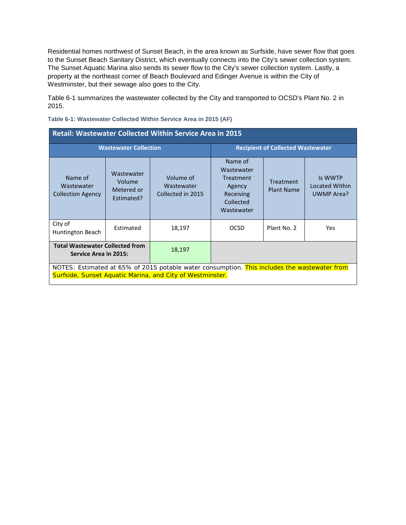Residential homes northwest of Sunset Beach, in the area known as Surfside, have sewer flow that goes to the Sunset Beach Sanitary District, which eventually connects into the City's sewer collection system. The Sunset Aquatic Marina also sends its sewer flow to the City's sewer collection system. Lastly, a property at the northeast corner of Beach Boulevard and Edinger Avenue is within the City of Westminster, but their sewage also goes to the City.

Table 6-1 summarizes the wastewater collected by the City and transported to OCSD's Plant No. 2 in 2015.

| <b>Retail: Wastewater Collected Within Service Area in 2015</b>                                                                                           |                                                  |                                              |                                                                                      |                                          |                                         |
|-----------------------------------------------------------------------------------------------------------------------------------------------------------|--------------------------------------------------|----------------------------------------------|--------------------------------------------------------------------------------------|------------------------------------------|-----------------------------------------|
|                                                                                                                                                           | <b>Wastewater Collection</b>                     |                                              |                                                                                      | <b>Recipient of Collected Wastewater</b> |                                         |
| Name of<br>Wastewater<br><b>Collection Agency</b>                                                                                                         | Wastewater<br>Volume<br>Metered or<br>Estimated? | Volume of<br>Wastewater<br>Collected in 2015 | Name of<br>Wastewater<br>Treatment<br>Agency<br>Receiving<br>Collected<br>Wastewater | <b>Treatment</b><br><b>Plant Name</b>    | Is WWTP<br>Located Within<br>UWMP Area? |
| City of<br>Huntington Beach                                                                                                                               | Estimated                                        | 18,197                                       | <b>OCSD</b>                                                                          | Plant No. 2                              | <b>Yes</b>                              |
| <b>Total Wastewater Collected from</b><br>Service Area in 2015:                                                                                           |                                                  | 18,197                                       |                                                                                      |                                          |                                         |
| NOTES: Estimated at 65% of 2015 potable water consumption. This includes the wastewater from<br>Surfside, Sunset Aquatic Marina, and City of Westminster. |                                                  |                                              |                                                                                      |                                          |                                         |

### **Table 6-1: Wastewater Collected Within Service Area in 2015 (AF)**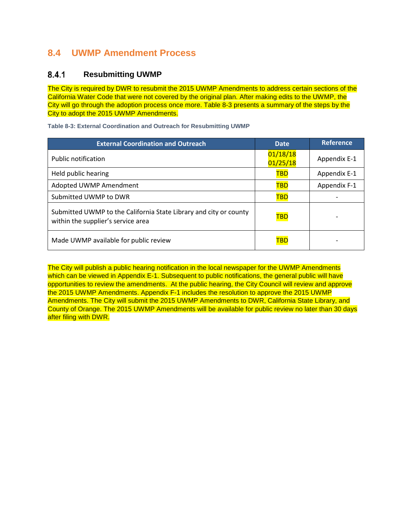# **8.4 UWMP Amendment Process**

#### $8.4.1$ **Resubmitting UWMP**

The City is required by DWR to resubmit the 2015 UWMP Amendments to address certain sections of the California Water Code that were not covered by the original plan. After making edits to the UWMP, the City will go through the adoption process once more. Table 8-3 presents a summary of the steps by the City to adopt the 2015 UWMP Amendments.

**Table 8-3: External Coordination and Outreach for Resubmitting UWMP**

| <b>External Coordination and Outreach</b>                                                               | <b>Date</b>          | <b>Reference</b> |
|---------------------------------------------------------------------------------------------------------|----------------------|------------------|
| Public notification                                                                                     | 01/18/18<br>01/25/18 | Appendix E-1     |
| Held public hearing                                                                                     | <b>TBD</b>           | Appendix E-1     |
| Adopted UWMP Amendment                                                                                  | <b>TBD</b>           | Appendix F-1     |
| Submitted UWMP to DWR                                                                                   | <b>TBD</b>           |                  |
| Submitted UWMP to the California State Library and city or county<br>within the supplier's service area | TBD                  |                  |
| Made UWMP available for public review                                                                   | TBD                  |                  |

The City will publish a public hearing notification in the local newspaper for the UWMP Amendments which can be viewed in Appendix E-1. Subsequent to public notifications, the general public will have opportunities to review the amendments. At the public hearing, the City Council will review and approve the 2015 UWMP Amendments. Appendix F-1 includes the resolution to approve the 2015 UWMP Amendments. The City will submit the 2015 UWMP Amendments to DWR, California State Library, and County of Orange. The 2015 UWMP Amendments will be available for public review no later than 30 days after filing with DWR.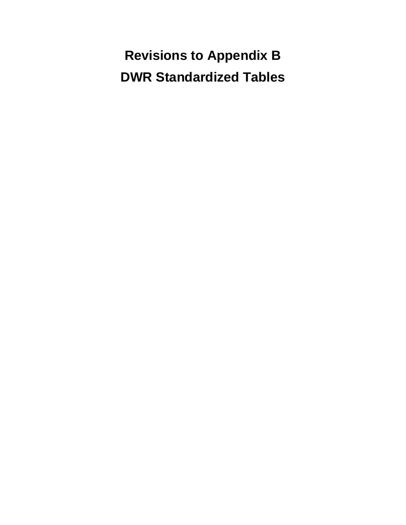**Revisions to Appendix B DWR Standardized Tables**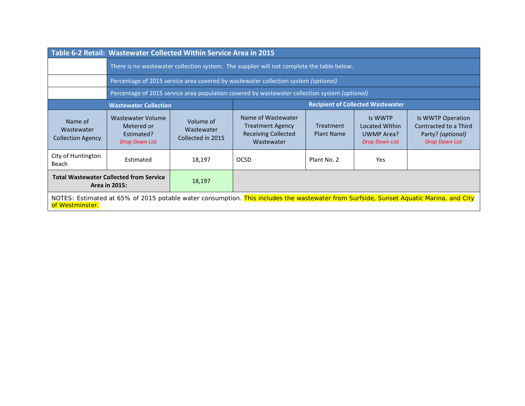|                                                                                                                                                           | Table 6-2 Retail: Wastewater Collected Within Service Area in 2015     |                                              |                                                                                               |                                       |                                                                  |                                                                                          |
|-----------------------------------------------------------------------------------------------------------------------------------------------------------|------------------------------------------------------------------------|----------------------------------------------|-----------------------------------------------------------------------------------------------|---------------------------------------|------------------------------------------------------------------|------------------------------------------------------------------------------------------|
|                                                                                                                                                           |                                                                        |                                              | There is no wastewater collection system. The supplier will not complete the table below.     |                                       |                                                                  |                                                                                          |
|                                                                                                                                                           |                                                                        |                                              | Percentage of 2015 service area covered by wastewater collection system (optional)            |                                       |                                                                  |                                                                                          |
|                                                                                                                                                           |                                                                        |                                              | Percentage of 2015 service area population covered by wastewater collection system (optional) |                                       |                                                                  |                                                                                          |
|                                                                                                                                                           | <b>Wastewater Collection</b>                                           |                                              |                                                                                               |                                       | <b>Recipient of Collected Wastewater</b>                         |                                                                                          |
| Name of<br>Wastewater<br><b>Collection Agency</b>                                                                                                         | Wastewater Volume<br>Metered or<br>Estimated?<br><b>Drop Down List</b> | Volume of<br>Wastewater<br>Collected in 2015 | Name of Wastewater<br><b>Treatment Agency</b><br><b>Receiving Collected</b><br>Wastewater     | <b>Treatment</b><br><b>Plant Name</b> | Is WWTP<br>Located Within<br>UWMP Area?<br><b>Drop Down List</b> | Is WWTP Operation<br>Contracted to a Third<br>Party? (optional)<br><b>Drop Down List</b> |
| City of Huntington<br>Beach                                                                                                                               | Estimated                                                              | 18,197                                       | <b>OCSD</b>                                                                                   | Plant No. 2                           | Yes                                                              |                                                                                          |
| <b>Total Wastewater Collected from Service</b><br>Area in 2015:                                                                                           |                                                                        | 18,197                                       |                                                                                               |                                       |                                                                  |                                                                                          |
| NOTES: Estimated at 65% of 2015 potable water consumption. This includes the wastewater from Surfside, Sunset Aquatic Marina, and City<br>of Westminster. |                                                                        |                                              |                                                                                               |                                       |                                                                  |                                                                                          |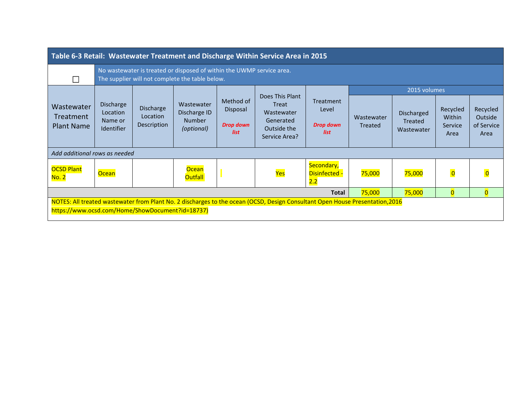| Table 6-3 Retail: Wastewater Treatment and Discharge Within Service Area in 2015                                                                                                  |                                                                                                                          |                                             |                                                           |                                                   |                                                                                     |                                         |                       |                                            |                                       |                                           |
|-----------------------------------------------------------------------------------------------------------------------------------------------------------------------------------|--------------------------------------------------------------------------------------------------------------------------|---------------------------------------------|-----------------------------------------------------------|---------------------------------------------------|-------------------------------------------------------------------------------------|-----------------------------------------|-----------------------|--------------------------------------------|---------------------------------------|-------------------------------------------|
| $\Box$                                                                                                                                                                            | No wastewater is treated or disposed of within the UWMP service area.<br>The supplier will not complete the table below. |                                             |                                                           |                                                   |                                                                                     |                                         |                       |                                            |                                       |                                           |
|                                                                                                                                                                                   |                                                                                                                          |                                             |                                                           |                                                   |                                                                                     |                                         |                       | 2015 volumes                               |                                       |                                           |
| Wastewater<br>Treatment<br><b>Plant Name</b>                                                                                                                                      | <b>Discharge</b><br>Location<br>Name or<br>Identifier                                                                    | <b>Discharge</b><br>Location<br>Description | Wastewater<br>Discharge ID<br><b>Number</b><br>(optional) | Method of<br>Disposal<br><b>Drop down</b><br>list | Does This Plant<br>Treat<br>Wastewater<br>Generated<br>Outside the<br>Service Area? | Treatment<br>Level<br>Drop down<br>list | Wastewater<br>Treated | Discharged<br><b>Treated</b><br>Wastewater | Recycled<br>Within<br>Service<br>Area | Recycled<br>Outside<br>of Service<br>Area |
| Add additional rows as needed                                                                                                                                                     |                                                                                                                          |                                             |                                                           |                                                   |                                                                                     |                                         |                       |                                            |                                       |                                           |
| <b>OCSD Plant</b><br><u>No. 2</u>                                                                                                                                                 | <b>Ocean</b>                                                                                                             |                                             | Ocean<br><b>Outfall</b>                                   |                                                   | Yes                                                                                 | Secondary,<br>Disinfected -<br>2.2      | 75,000                | 75,000                                     | $\overline{\mathbf{0}}$               | $\overline{\mathbf{0}}$                   |
|                                                                                                                                                                                   | 75,000<br>75,000<br>$\overline{0}$<br><b>Total</b><br>$\overline{0}$                                                     |                                             |                                                           |                                                   |                                                                                     |                                         |                       |                                            |                                       |                                           |
| NOTES: All treated wastewater from Plant No. 2 discharges to the ocean (OCSD, Design Consultant Open House Presentation, 2016<br>https://www.ocsd.com/Home/ShowDocument?id=18737) |                                                                                                                          |                                             |                                                           |                                                   |                                                                                     |                                         |                       |                                            |                                       |                                           |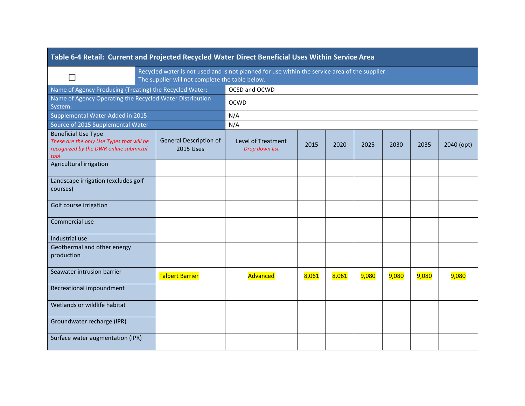| Table 6-4 Retail: Current and Projected Recycled Water Direct Beneficial Uses Within Service Area                         |  |                                                                                                                                                   |                                      |       |       |       |       |       |            |
|---------------------------------------------------------------------------------------------------------------------------|--|---------------------------------------------------------------------------------------------------------------------------------------------------|--------------------------------------|-------|-------|-------|-------|-------|------------|
| П                                                                                                                         |  | Recycled water is not used and is not planned for use within the service area of the supplier.<br>The supplier will not complete the table below. |                                      |       |       |       |       |       |            |
| Name of Agency Producing (Treating) the Recycled Water:                                                                   |  |                                                                                                                                                   | OCSD and OCWD                        |       |       |       |       |       |            |
| Name of Agency Operating the Recycled Water Distribution<br>System:                                                       |  |                                                                                                                                                   | <b>OCWD</b>                          |       |       |       |       |       |            |
| Supplemental Water Added in 2015                                                                                          |  |                                                                                                                                                   | N/A                                  |       |       |       |       |       |            |
| Source of 2015 Supplemental Water                                                                                         |  |                                                                                                                                                   | N/A                                  |       |       |       |       |       |            |
| <b>Beneficial Use Type</b><br>These are the only Use Types that will be<br>recognized by the DWR online submittal<br>tool |  | General Description of<br><b>2015 Uses</b>                                                                                                        | Level of Treatment<br>Drop down list | 2015  | 2020  | 2025  | 2030  | 2035  | 2040 (opt) |
| Agricultural irrigation                                                                                                   |  |                                                                                                                                                   |                                      |       |       |       |       |       |            |
| Landscape irrigation (excludes golf<br>courses)                                                                           |  |                                                                                                                                                   |                                      |       |       |       |       |       |            |
| Golf course irrigation                                                                                                    |  |                                                                                                                                                   |                                      |       |       |       |       |       |            |
| Commercial use                                                                                                            |  |                                                                                                                                                   |                                      |       |       |       |       |       |            |
| Industrial use                                                                                                            |  |                                                                                                                                                   |                                      |       |       |       |       |       |            |
| Geothermal and other energy<br>production                                                                                 |  |                                                                                                                                                   |                                      |       |       |       |       |       |            |
| Seawater intrusion barrier                                                                                                |  | <b>Talbert Barrier</b>                                                                                                                            | Advanced                             | 8,061 | 8,061 | 9,080 | 9,080 | 9,080 | 9,080      |
| Recreational impoundment                                                                                                  |  |                                                                                                                                                   |                                      |       |       |       |       |       |            |
| Wetlands or wildlife habitat                                                                                              |  |                                                                                                                                                   |                                      |       |       |       |       |       |            |
| Groundwater recharge (IPR)                                                                                                |  |                                                                                                                                                   |                                      |       |       |       |       |       |            |
| Surface water augmentation (IPR)                                                                                          |  |                                                                                                                                                   |                                      |       |       |       |       |       |            |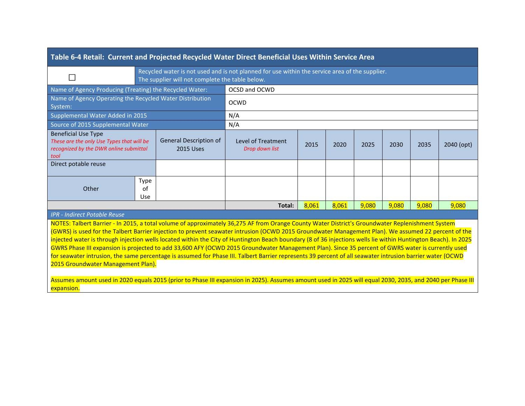| Table 6-4 Retail: Current and Projected Recycled Water Direct Beneficial Uses Within Service Area                                                                                                                                                                                                                                                                                                                                                                                                                                                                                                                                                                                                                                                                                                                                                                                                                                                                                               |                                 |                                                 |                                                                                                |       |       |       |       |       |            |
|-------------------------------------------------------------------------------------------------------------------------------------------------------------------------------------------------------------------------------------------------------------------------------------------------------------------------------------------------------------------------------------------------------------------------------------------------------------------------------------------------------------------------------------------------------------------------------------------------------------------------------------------------------------------------------------------------------------------------------------------------------------------------------------------------------------------------------------------------------------------------------------------------------------------------------------------------------------------------------------------------|---------------------------------|-------------------------------------------------|------------------------------------------------------------------------------------------------|-------|-------|-------|-------|-------|------------|
| M.                                                                                                                                                                                                                                                                                                                                                                                                                                                                                                                                                                                                                                                                                                                                                                                                                                                                                                                                                                                              |                                 | The supplier will not complete the table below. | Recycled water is not used and is not planned for use within the service area of the supplier. |       |       |       |       |       |            |
| Name of Agency Producing (Treating) the Recycled Water:                                                                                                                                                                                                                                                                                                                                                                                                                                                                                                                                                                                                                                                                                                                                                                                                                                                                                                                                         |                                 |                                                 | OCSD and OCWD                                                                                  |       |       |       |       |       |            |
| Name of Agency Operating the Recycled Water Distribution<br>System:                                                                                                                                                                                                                                                                                                                                                                                                                                                                                                                                                                                                                                                                                                                                                                                                                                                                                                                             |                                 |                                                 | <b>OCWD</b>                                                                                    |       |       |       |       |       |            |
| Supplemental Water Added in 2015                                                                                                                                                                                                                                                                                                                                                                                                                                                                                                                                                                                                                                                                                                                                                                                                                                                                                                                                                                |                                 |                                                 | N/A                                                                                            |       |       |       |       |       |            |
| Source of 2015 Supplemental Water                                                                                                                                                                                                                                                                                                                                                                                                                                                                                                                                                                                                                                                                                                                                                                                                                                                                                                                                                               |                                 |                                                 | N/A                                                                                            |       |       |       |       |       |            |
| <b>Beneficial Use Type</b><br>These are the only Use Types that will be<br>recognized by the DWR online submittal<br>tool                                                                                                                                                                                                                                                                                                                                                                                                                                                                                                                                                                                                                                                                                                                                                                                                                                                                       |                                 | General Description of<br><b>2015 Uses</b>      | Level of Treatment<br>Drop down list                                                           | 2015  | 2020  | 2025  | 2030  | 2035  | 2040 (opt) |
| Direct potable reuse                                                                                                                                                                                                                                                                                                                                                                                                                                                                                                                                                                                                                                                                                                                                                                                                                                                                                                                                                                            |                                 |                                                 |                                                                                                |       |       |       |       |       |            |
| Other                                                                                                                                                                                                                                                                                                                                                                                                                                                                                                                                                                                                                                                                                                                                                                                                                                                                                                                                                                                           | <b>Type</b><br>of<br><b>Use</b> |                                                 |                                                                                                |       |       |       |       |       |            |
|                                                                                                                                                                                                                                                                                                                                                                                                                                                                                                                                                                                                                                                                                                                                                                                                                                                                                                                                                                                                 |                                 |                                                 | Total:                                                                                         | 8,061 | 8,061 | 9,080 | 9,080 | 9,080 | 9,080      |
| <b>IPR - Indirect Potable Reuse</b>                                                                                                                                                                                                                                                                                                                                                                                                                                                                                                                                                                                                                                                                                                                                                                                                                                                                                                                                                             |                                 |                                                 |                                                                                                |       |       |       |       |       |            |
| NOTES: Talbert Barrier - In 2015, a total volume of approximately 36,275 AF from Orange County Water District's Groundwater Replenishment System<br>(GWRS) is used for the Talbert Barrier injection to prevent seawater intrusion (OCWD 2015 Groundwater Management Plan). We assumed 22 percent of the<br>injected water is through injection wells located within the City of Huntington Beach boundary (8 of 36 injections wells lie within Huntington Beach). In 2025<br>GWRS Phase III expansion is projected to add 33,600 AFY (OCWD 2015 Groundwater Management Plan). Since 35 percent of GWRS water is currently used<br>for seawater intrusion, the same percentage is assumed for Phase III. Talbert Barrier represents 39 percent of all seawater intrusion barrier water (OCWD<br>2015 Groundwater Management Plan).<br>Assumes amount used in 2020 equals 2015 (prior to Phase III expansion in 2025). Assumes amount used in 2025 will equal 2030, 2035, and 2040 per Phase III |                                 |                                                 |                                                                                                |       |       |       |       |       |            |
| expansion.                                                                                                                                                                                                                                                                                                                                                                                                                                                                                                                                                                                                                                                                                                                                                                                                                                                                                                                                                                                      |                                 |                                                 |                                                                                                |       |       |       |       |       |            |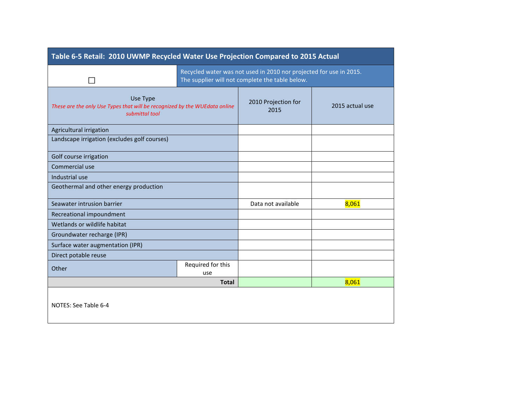| Table 6-5 Retail: 2010 UWMP Recycled Water Use Projection Compared to 2015 Actual                        |                                                                                                                       |                    |       |  |  |
|----------------------------------------------------------------------------------------------------------|-----------------------------------------------------------------------------------------------------------------------|--------------------|-------|--|--|
|                                                                                                          | Recycled water was not used in 2010 nor projected for use in 2015.<br>The supplier will not complete the table below. |                    |       |  |  |
| Use Type<br>These are the only Use Types that will be recognized by the WUEdata online<br>submittal tool | 2010 Projection for<br>2015                                                                                           | 2015 actual use    |       |  |  |
| Agricultural irrigation                                                                                  |                                                                                                                       |                    |       |  |  |
| Landscape irrigation (excludes golf courses)                                                             |                                                                                                                       |                    |       |  |  |
| Golf course irrigation                                                                                   |                                                                                                                       |                    |       |  |  |
| Commercial use                                                                                           |                                                                                                                       |                    |       |  |  |
| Industrial use                                                                                           |                                                                                                                       |                    |       |  |  |
| Geothermal and other energy production                                                                   |                                                                                                                       |                    |       |  |  |
| Seawater intrusion barrier                                                                               |                                                                                                                       | Data not available | 8,061 |  |  |
| Recreational impoundment                                                                                 |                                                                                                                       |                    |       |  |  |
| Wetlands or wildlife habitat                                                                             |                                                                                                                       |                    |       |  |  |
| Groundwater recharge (IPR)                                                                               |                                                                                                                       |                    |       |  |  |
| Surface water augmentation (IPR)                                                                         |                                                                                                                       |                    |       |  |  |
| Direct potable reuse                                                                                     |                                                                                                                       |                    |       |  |  |
| Other                                                                                                    | Required for this<br>use                                                                                              |                    |       |  |  |
|                                                                                                          |                                                                                                                       |                    |       |  |  |
|                                                                                                          | <b>Total</b>                                                                                                          |                    | 8,061 |  |  |
| NOTES: See Table 6-4                                                                                     |                                                                                                                       |                    |       |  |  |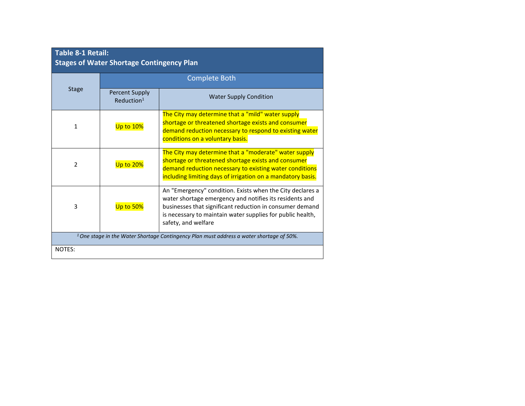| <b>Table 8-1 Retail:</b><br><b>Stages of Water Shortage Contingency Plan</b>                        |                                                 |                                                                                                                                                                                                                                                                       |  |  |
|-----------------------------------------------------------------------------------------------------|-------------------------------------------------|-----------------------------------------------------------------------------------------------------------------------------------------------------------------------------------------------------------------------------------------------------------------------|--|--|
|                                                                                                     |                                                 | <b>Complete Both</b>                                                                                                                                                                                                                                                  |  |  |
| <b>Stage</b>                                                                                        | <b>Percent Supply</b><br>Reduction <sup>1</sup> | <b>Water Supply Condition</b>                                                                                                                                                                                                                                         |  |  |
| 1                                                                                                   | Up to 10%                                       | The City may determine that a "mild" water supply<br>shortage or threatened shortage exists and consumer<br>demand reduction necessary to respond to existing water<br>conditions on a voluntary basis.                                                               |  |  |
| 2                                                                                                   | Up to 20%                                       | The City may determine that a "moderate" water supply<br>shortage or threatened shortage exists and consumer<br>demand reduction necessary to existing water conditions<br>including limiting days of irrigation on a mandatory basis.                                |  |  |
| 3                                                                                                   | Up to 50%                                       | An "Emergency" condition. Exists when the City declares a<br>water shortage emergency and notifies its residents and<br>businesses that significant reduction in consumer demand<br>is necessary to maintain water supplies for public health,<br>safety, and welfare |  |  |
| <sup>1</sup> One stage in the Water Shortage Contingency Plan must address a water shortage of 50%. |                                                 |                                                                                                                                                                                                                                                                       |  |  |
| NOTES:                                                                                              |                                                 |                                                                                                                                                                                                                                                                       |  |  |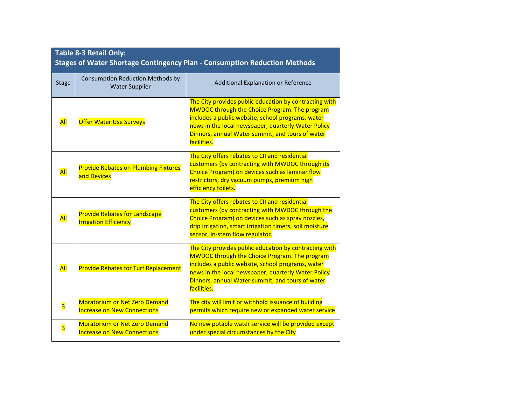| Table 8-3 Retail Only:<br><b>Stages of Water Shortage Contingency Plan - Consumption Reduction Methods</b> |                                                                            |                                                                                                                                                                                                                                                                                               |  |  |  |
|------------------------------------------------------------------------------------------------------------|----------------------------------------------------------------------------|-----------------------------------------------------------------------------------------------------------------------------------------------------------------------------------------------------------------------------------------------------------------------------------------------|--|--|--|
| <b>Stage</b>                                                                                               | Consumption Reduction Methods by<br><b>Water Supplier</b>                  | Additional Explanation or Reference                                                                                                                                                                                                                                                           |  |  |  |
| All                                                                                                        | <b>Offer Water Use Surveys</b>                                             | The City provides public education by contracting with<br><b>MWDOC through the Choice Program. The program</b><br>includes a public website, school programs, water<br>news in the local newspaper, quarterly Water Policy<br>Dinners, annual Water summit, and tours of water<br>facilities. |  |  |  |
| All                                                                                                        | <b>Provide Rebates on Plumbing Fixtures</b><br>and Devices                 | The City offers rebates to CII and residential<br>customers (by contracting with MWDOC through its<br>Choice Program) on devices such as laminar flow<br>restrictors, dry vacuum pumps, premium high<br>efficiency toilets.                                                                   |  |  |  |
| All                                                                                                        | <b>Provide Rebates for Landscape</b><br><b>Irrigation Efficiency</b>       | The City offers rebates to CII and residential<br>customers (by contracting with MWDOC through the<br>Choice Program) on devices such as spray nozzles,<br>drip irrigation, smart irrigation timers, soil moisture<br>sensor, in-stem flow regulator.                                         |  |  |  |
| All                                                                                                        | <b>Provide Rebates for Turf Replacement</b>                                | The City provides public education by contracting with<br><b>MWDOC</b> through the Choice Program. The program<br>includes a public website, school programs, water<br>news in the local newspaper, quarterly Water Policy<br>Dinners, annual Water summit, and tours of water<br>facilities. |  |  |  |
| $\overline{\mathbf{3}}$                                                                                    | <b>Moratorium or Net Zero Demand</b><br><b>Increase on New Connections</b> | The city will limit or withhold issuance of building<br>permits which require new or expanded water service                                                                                                                                                                                   |  |  |  |
| $\overline{\mathbf{3}}$                                                                                    | <b>Moratorium or Net Zero Demand</b><br><b>Increase on New Connections</b> | No new potable water service will be provided except<br>under special circumstances by the City                                                                                                                                                                                               |  |  |  |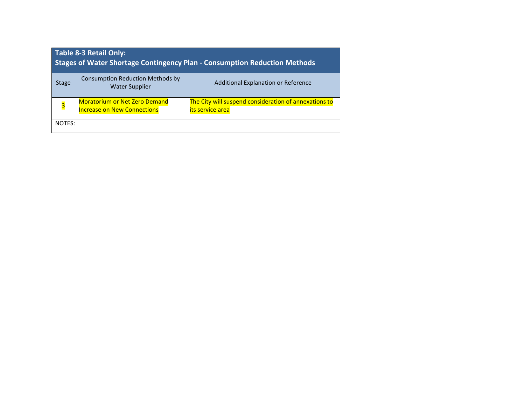| <b>Table 8-3 Retail Only:</b><br><b>Stages of Water Shortage Contingency Plan - Consumption Reduction Methods</b> |                                                                            |                                                                           |  |  |  |
|-------------------------------------------------------------------------------------------------------------------|----------------------------------------------------------------------------|---------------------------------------------------------------------------|--|--|--|
| <b>Stage</b>                                                                                                      | Consumption Reduction Methods by<br><b>Water Supplier</b>                  | Additional Explanation or Reference                                       |  |  |  |
| $\overline{\mathbf{3}}$                                                                                           | <b>Moratorium or Net Zero Demand</b><br><b>Increase on New Connections</b> | The City will suspend consideration of annexations to<br>its service area |  |  |  |
| NOTES:                                                                                                            |                                                                            |                                                                           |  |  |  |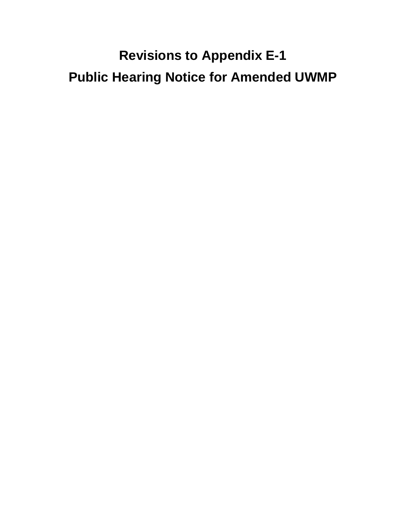# **Revisions to Appendix E-1 Public Hearing Notice for Amended UWMP**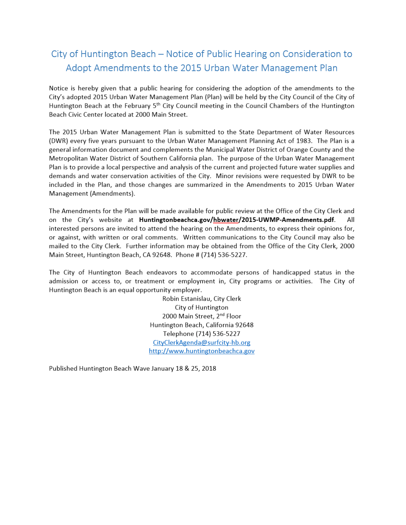# City of Huntington Beach - Notice of Public Hearing on Consideration to Adopt Amendments to the 2015 Urban Water Management Plan

Notice is hereby given that a public hearing for considering the adoption of the amendments to the City's adopted 2015 Urban Water Management Plan (Plan) will be held by the City Council of the City of Huntington Beach at the February 5<sup>th</sup> City Council meeting in the Council Chambers of the Huntington Beach Civic Center located at 2000 Main Street.

The 2015 Urban Water Management Plan is submitted to the State Department of Water Resources (DWR) every five years pursuant to the Urban Water Management Planning Act of 1983. The Plan is a general information document and complements the Municipal Water District of Orange County and the Metropolitan Water District of Southern California plan. The purpose of the Urban Water Management Plan is to provide a local perspective and analysis of the current and projected future water supplies and demands and water conservation activities of the City. Minor revisions were requested by DWR to be included in the Plan, and those changes are summarized in the Amendments to 2015 Urban Water Management (Amendments).

The Amendments for the Plan will be made available for public review at the Office of the City Clerk and on the City's website at Huntingtonbeachca.gov/hbwater/2015-UWMP-Amendments.pdf. All interested persons are invited to attend the hearing on the Amendments, to express their opinions for, or against, with written or oral comments. Written communications to the City Council may also be mailed to the City Clerk. Further information may be obtained from the Office of the City Clerk, 2000 Main Street, Huntington Beach, CA 92648. Phone # (714) 536-5227.

The City of Huntington Beach endeavors to accommodate persons of handicapped status in the admission or access to, or treatment or employment in, City programs or activities. The City of Huntington Beach is an equal opportunity employer.

> Robin Estanislau, City Clerk City of Huntington 2000 Main Street, 2<sup>nd</sup> Floor Huntington Beach, California 92648 Telephone (714) 536-5227 CityClerkAgenda@surfcity-hb.org http://www.huntingtonbeachca.gov

Published Huntington Beach Wave January 18 & 25, 2018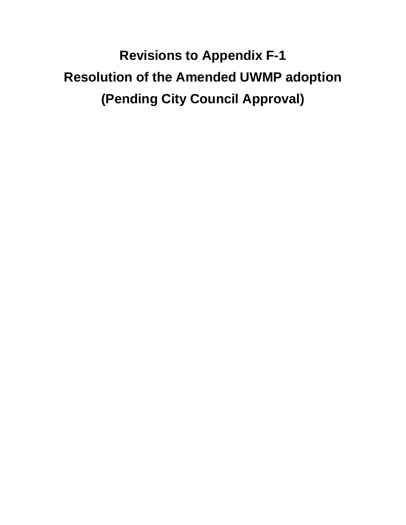**Revisions to Appendix F-1 Resolution of the Amended UWMP adoption (Pending City Council Approval)**